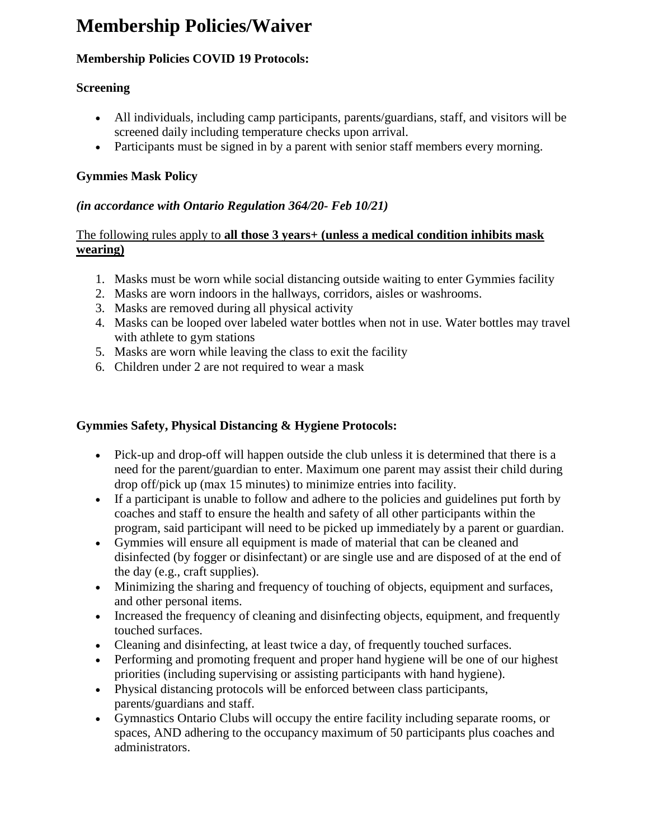# **Membership Policies/Waiver**

# **Membership Policies COVID 19 Protocols:**

## **Screening**

- All individuals, including camp participants, parents/guardians, staff, and visitors will be screened daily including temperature checks upon arrival.
- Participants must be signed in by a parent with senior staff members every morning.

## **Gymmies Mask Policy**

## *(in accordance with Ontario Regulation 364/20- Feb 10/21)*

### The following rules apply to **all those 3 years+ (unless a medical condition inhibits mask wearing)**

- 1. Masks must be worn while social distancing outside waiting to enter Gymmies facility
- 2. Masks are worn indoors in the hallways, corridors, aisles or washrooms.
- 3. Masks are removed during all physical activity
- 4. Masks can be looped over labeled water bottles when not in use. Water bottles may travel with athlete to gym stations
- 5. Masks are worn while leaving the class to exit the facility
- 6. Children under 2 are not required to wear a mask

# **Gymmies Safety, Physical Distancing & Hygiene Protocols:**

- Pick-up and drop-off will happen outside the club unless it is determined that there is a need for the parent/guardian to enter. Maximum one parent may assist their child during drop off/pick up (max 15 minutes) to minimize entries into facility.
- If a participant is unable to follow and adhere to the policies and guidelines put forth by coaches and staff to ensure the health and safety of all other participants within the program, said participant will need to be picked up immediately by a parent or guardian.
- Gymmies will ensure all equipment is made of material that can be cleaned and disinfected (by fogger or disinfectant) or are single use and are disposed of at the end of the day (e.g., craft supplies).
- Minimizing the sharing and frequency of touching of objects, equipment and surfaces, and other personal items.
- Increased the frequency of cleaning and disinfecting objects, equipment, and frequently touched surfaces.
- Cleaning and disinfecting, at least twice a day, of frequently touched surfaces.
- Performing and promoting frequent and proper hand hygiene will be one of our highest priorities (including supervising or assisting participants with hand hygiene).
- Physical distancing protocols will be enforced between class participants, parents/guardians and staff.
- Gymnastics Ontario Clubs will occupy the entire facility including separate rooms, or spaces, AND adhering to the occupancy maximum of 50 participants plus coaches and administrators.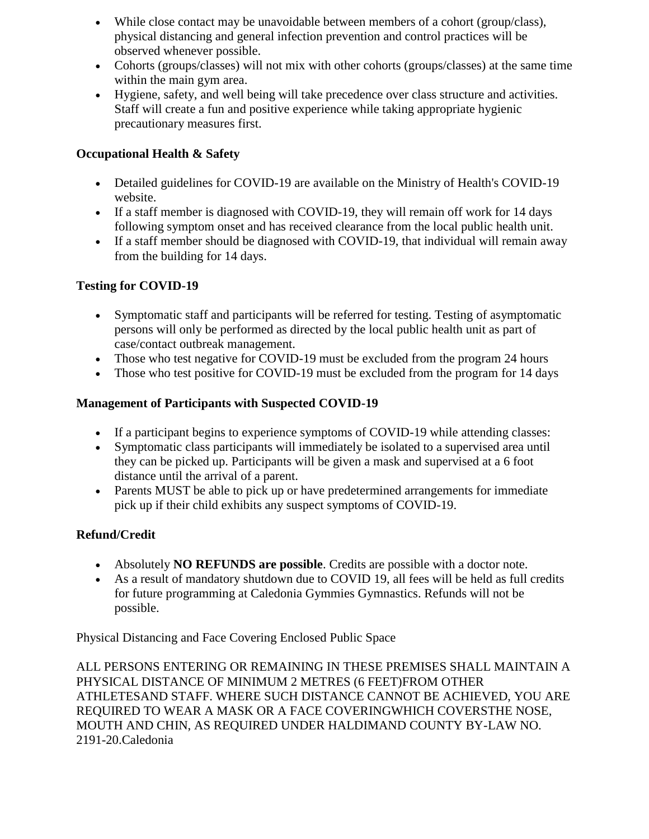- While close contact may be unavoidable between members of a cohort (group/class), physical distancing and general infection prevention and control practices will be observed whenever possible.
- Cohorts (groups/classes) will not mix with other cohorts (groups/classes) at the same time within the main gym area.
- Hygiene, safety, and well being will take precedence over class structure and activities. Staff will create a fun and positive experience while taking appropriate hygienic precautionary measures first.

# **Occupational Health & Safety**

- Detailed guidelines for COVID-19 are available on the Ministry of Health's COVID-19 website.
- If a staff member is diagnosed with COVID-19, they will remain off work for 14 days following symptom onset and has received clearance from the local public health unit.
- If a staff member should be diagnosed with COVID-19, that individual will remain away from the building for 14 days.

## **Testing for COVID-19**

- Symptomatic staff and participants will be referred for testing. Testing of asymptomatic persons will only be performed as directed by the local public health unit as part of case/contact outbreak management.
- Those who test negative for COVID-19 must be excluded from the program 24 hours
- Those who test positive for COVID-19 must be excluded from the program for 14 days

#### **Management of Participants with Suspected COVID-19**

- If a participant begins to experience symptoms of COVID-19 while attending classes:
- Symptomatic class participants will immediately be isolated to a supervised area until they can be picked up. Participants will be given a mask and supervised at a 6 foot distance until the arrival of a parent.
- Parents MUST be able to pick up or have predetermined arrangements for immediate pick up if their child exhibits any suspect symptoms of COVID-19.

#### **Refund/Credit**

- Absolutely **NO REFUNDS are possible**. Credits are possible with a doctor note.
- As a result of mandatory shutdown due to COVID 19, all fees will be held as full credits for future programming at Caledonia Gymmies Gymnastics. Refunds will not be possible.

Physical Distancing and Face Covering Enclosed Public Space

ALL PERSONS ENTERING OR REMAINING IN THESE PREMISES SHALL MAINTAIN A PHYSICAL DISTANCE OF MINIMUM 2 METRES (6 FEET)FROM OTHER ATHLETESAND STAFF. WHERE SUCH DISTANCE CANNOT BE ACHIEVED, YOU ARE REQUIRED TO WEAR A MASK OR A FACE COVERINGWHICH COVERSTHE NOSE, MOUTH AND CHIN, AS REQUIRED UNDER HALDIMAND COUNTY BY-LAW NO. 2191-20.Caledonia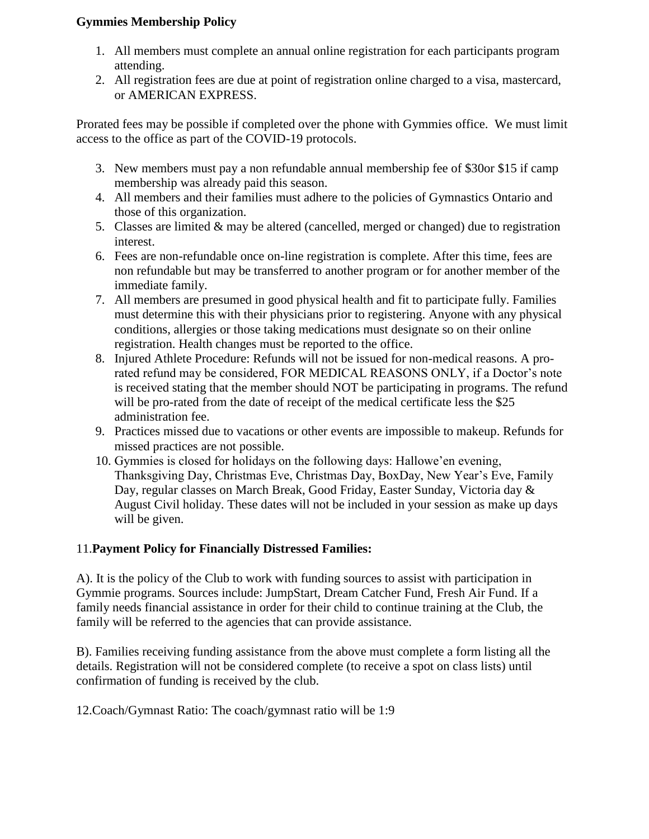#### **Gymmies Membership Policy**

- 1. All members must complete an annual online registration for each participants program attending.
- 2. All registration fees are due at point of registration online charged to a visa, mastercard, or AMERICAN EXPRESS.

Prorated fees may be possible if completed over the phone with Gymmies office. We must limit access to the office as part of the COVID-19 protocols.

- 3. New members must pay a non refundable annual membership fee of \$30or \$15 if camp membership was already paid this season.
- 4. All members and their families must adhere to the policies of Gymnastics Ontario and those of this organization.
- 5. Classes are limited & may be altered (cancelled, merged or changed) due to registration interest.
- 6. Fees are non-refundable once on-line registration is complete. After this time, fees are non refundable but may be transferred to another program or for another member of the immediate family.
- 7. All members are presumed in good physical health and fit to participate fully. Families must determine this with their physicians prior to registering. Anyone with any physical conditions, allergies or those taking medications must designate so on their online registration. Health changes must be reported to the office.
- 8. Injured Athlete Procedure: Refunds will not be issued for non-medical reasons. A prorated refund may be considered, FOR MEDICAL REASONS ONLY, if a Doctor's note is received stating that the member should NOT be participating in programs. The refund will be pro-rated from the date of receipt of the medical certificate less the \$25 administration fee.
- 9. Practices missed due to vacations or other events are impossible to makeup. Refunds for missed practices are not possible.
- 10. Gymmies is closed for holidays on the following days: Hallowe'en evening, Thanksgiving Day, Christmas Eve, Christmas Day, BoxDay, New Year's Eve, Family Day, regular classes on March Break, Good Friday, Easter Sunday, Victoria day & August Civil holiday. These dates will not be included in your session as make up days will be given.

# 11.**Payment Policy for Financially Distressed Families:**

A). It is the policy of the Club to work with funding sources to assist with participation in Gymmie programs. Sources include: JumpStart, Dream Catcher Fund, Fresh Air Fund. If a family needs financial assistance in order for their child to continue training at the Club, the family will be referred to the agencies that can provide assistance.

B). Families receiving funding assistance from the above must complete a form listing all the details. Registration will not be considered complete (to receive a spot on class lists) until confirmation of funding is received by the club.

12.Coach/Gymnast Ratio: The coach/gymnast ratio will be 1:9